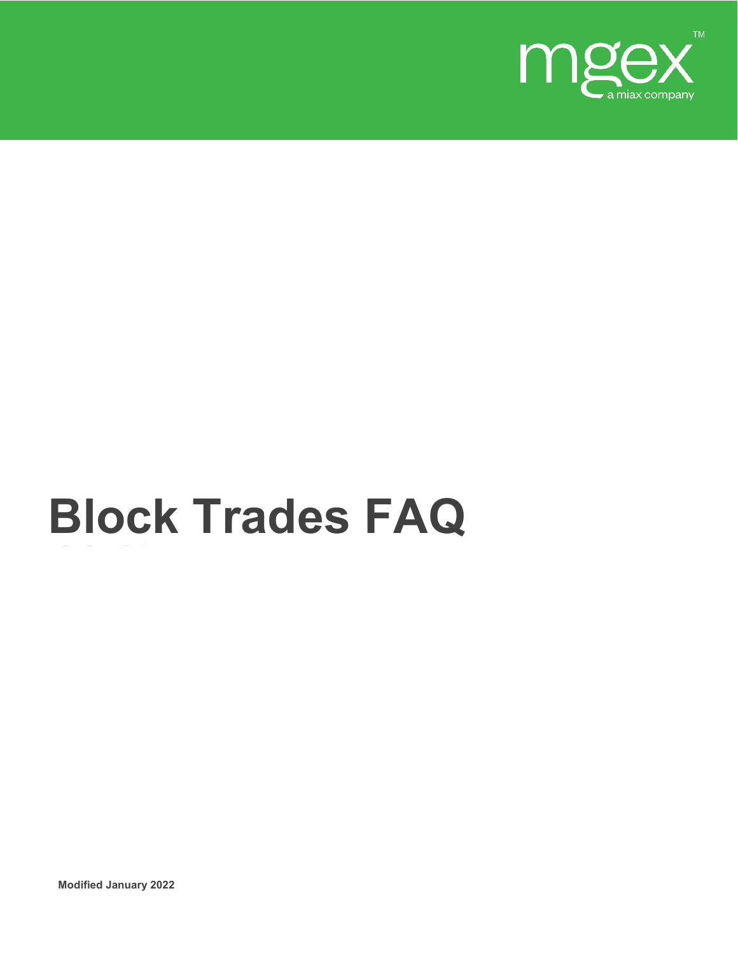

# **Block Trades FAQ**

**Modified January 2022**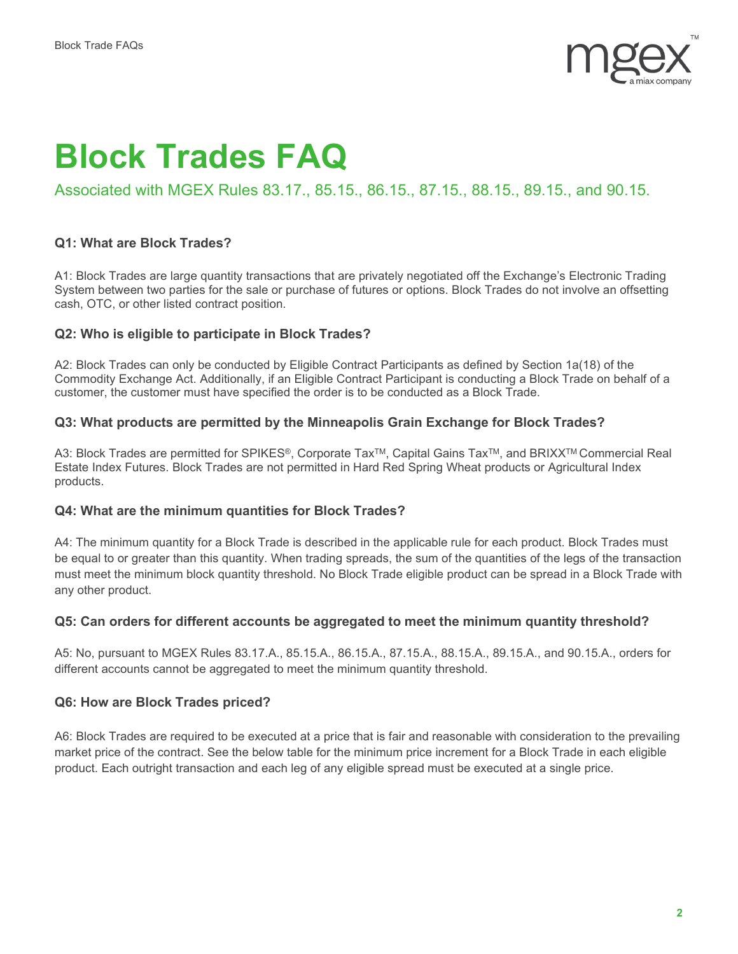

# **Block Trades FAQ**

# Associated with MGEX Rules 83.17., 85.15., 86.15., 87.15., 88.15., 89.15., and 90.15.

#### **Q1: What are Block Trades?**

A1: Block Trades are large quantity transactions that are privately negotiated off the Exchange's Electronic Trading System between two parties for the sale or purchase of futures or options. Block Trades do not involve an offsetting cash, OTC, or other listed contract position.

#### **Q2: Who is eligible to participate in Block Trades?**

A2: Block Trades can only be conducted by Eligible Contract Participants as defined by Section 1a(18) of the Commodity Exchange Act. Additionally, if an Eligible Contract Participant is conducting a Block Trade on behalf of a customer, the customer must have specified the order is to be conducted as a Block Trade.

#### **Q3: What products are permitted by the Minneapolis Grain Exchange for Block Trades?**

A3: Block Trades are permitted for SPIKES®, Corporate Tax<sup>TM</sup>, Capital Gains Tax<sup>TM</sup>, and BRIXX<sup>TM</sup> Commercial Real Estate Index Futures. Block Trades are not permitted in Hard Red Spring Wheat products or Agricultural Index products.

#### **Q4: What are the minimum quantities for Block Trades?**

A4: The minimum quantity for a Block Trade is described in the applicable rule for each product. Block Trades must be equal to or greater than this quantity. When trading spreads, the sum of the quantities of the legs of the transaction must meet the minimum block quantity threshold. No Block Trade eligible product can be spread in a Block Trade with any other product.

#### **Q5: Can orders for different accounts be aggregated to meet the minimum quantity threshold?**

A5: No, pursuant to MGEX Rules 83.17.A., 85.15.A., 86.15.A., 87.15.A., 88.15.A., 89.15.A., and 90.15.A., orders for different accounts cannot be aggregated to meet the minimum quantity threshold.

#### **Q6: How are Block Trades priced?**

A6: Block Trades are required to be executed at a price that is fair and reasonable with consideration to the prevailing market price of the contract. See the below table for the minimum price increment for a Block Trade in each eligible product. Each outright transaction and each leg of any eligible spread must be executed at a single price.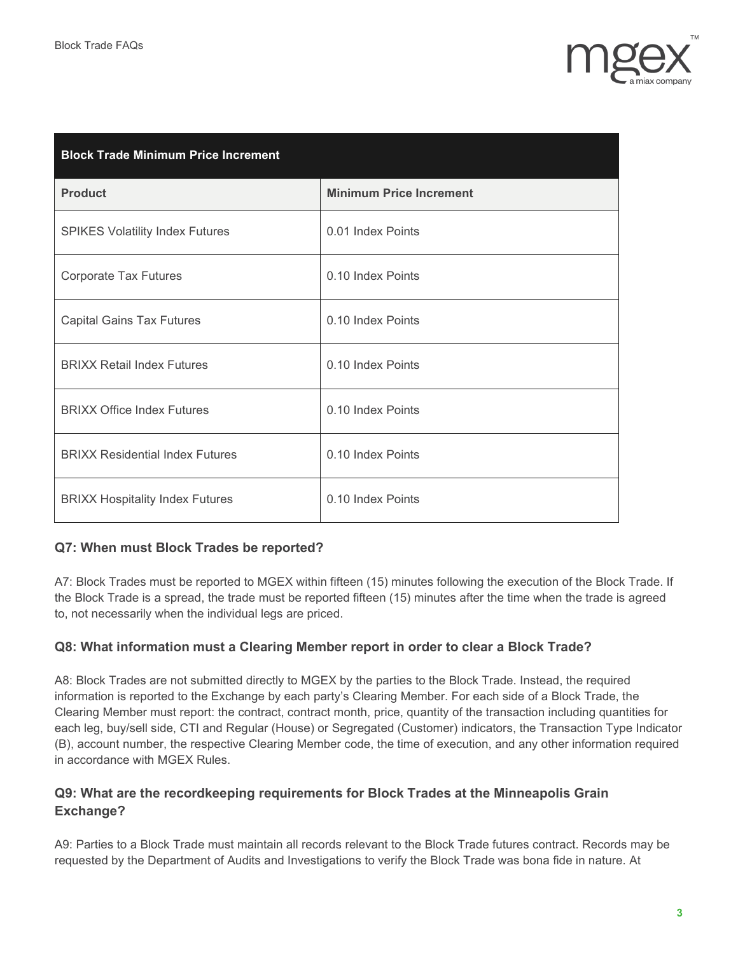

| <b>Block Trade Minimum Price Increment</b> |                                |  |
|--------------------------------------------|--------------------------------|--|
| <b>Product</b>                             | <b>Minimum Price Increment</b> |  |
| <b>SPIKES Volatility Index Futures</b>     | 0.01 Index Points              |  |
| <b>Corporate Tax Futures</b>               | 0.10 Index Points              |  |
| <b>Capital Gains Tax Futures</b>           | 0.10 Index Points              |  |
| <b>BRIXX Retail Index Futures</b>          | 0.10 Index Points              |  |
| <b>BRIXX Office Index Futures</b>          | 0.10 Index Points              |  |
| <b>BRIXX Residential Index Futures</b>     | 0.10 Index Points              |  |
| <b>BRIXX Hospitality Index Futures</b>     | 0.10 Index Points              |  |

# **Q7: When must Block Trades be reported?**

A7: Block Trades must be reported to MGEX within fifteen (15) minutes following the execution of the Block Trade. If the Block Trade is a spread, the trade must be reported fifteen (15) minutes after the time when the trade is agreed to, not necessarily when the individual legs are priced.

#### **Q8: What information must a Clearing Member report in order to clear a Block Trade?**

A8: Block Trades are not submitted directly to MGEX by the parties to the Block Trade. Instead, the required information is reported to the Exchange by each party's Clearing Member. For each side of a Block Trade, the Clearing Member must report: the contract, contract month, price, quantity of the transaction including quantities for each leg, buy/sell side, CTI and Regular (House) or Segregated (Customer) indicators, the Transaction Type Indicator (B), account number, the respective Clearing Member code, the time of execution, and any other information required in accordance with MGEX Rules.

### **Q9: What are the recordkeeping requirements for Block Trades at the Minneapolis Grain Exchange?**

A9: Parties to a Block Trade must maintain all records relevant to the Block Trade futures contract. Records may be requested by the Department of Audits and Investigations to verify the Block Trade was bona fide in nature. At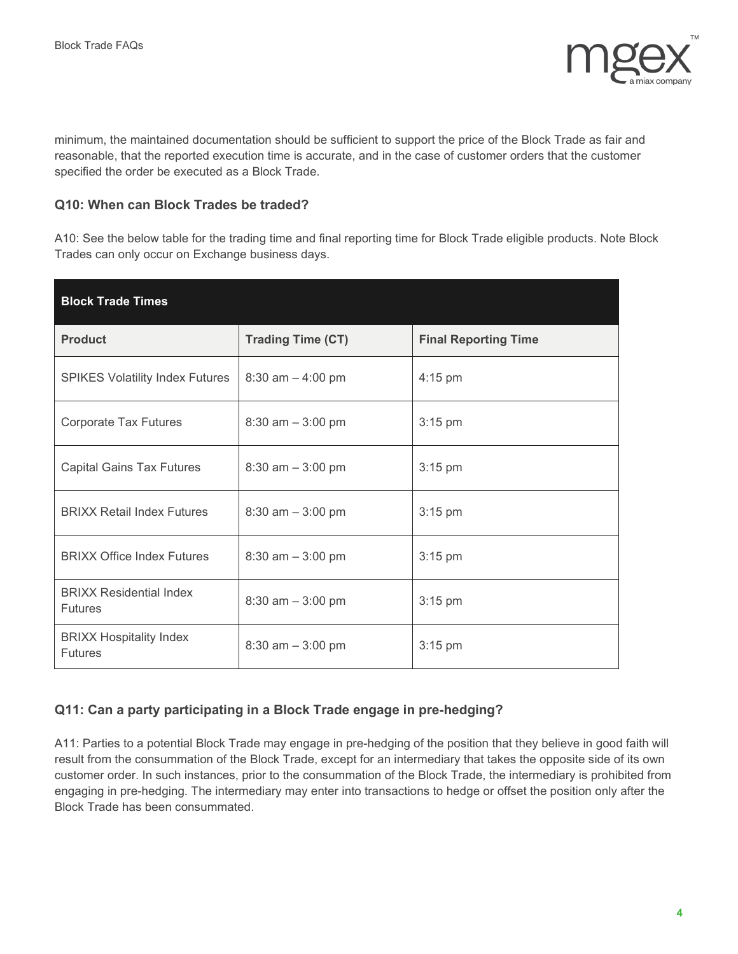

minimum, the maintained documentation should be sufficient to support the price of the Block Trade as fair and reasonable, that the reported execution time is accurate, and in the case of customer orders that the customer specified the order be executed as a Block Trade.

#### **Q10: When can Block Trades be traded?**

A10: See the below table for the trading time and final reporting time for Block Trade eligible products. Note Block Trades can only occur on Exchange business days.

| <b>Block Trade Times</b>                         |                          |                             |
|--------------------------------------------------|--------------------------|-----------------------------|
| <b>Product</b>                                   | <b>Trading Time (CT)</b> | <b>Final Reporting Time</b> |
| <b>SPIKES Volatility Index Futures</b>           | $8:30$ am $-4:00$ pm     | $4:15$ pm                   |
| <b>Corporate Tax Futures</b>                     | $8:30$ am $-3:00$ pm     | $3:15$ pm                   |
| <b>Capital Gains Tax Futures</b>                 | $8:30$ am $-3:00$ pm     | $3:15$ pm                   |
| <b>BRIXX Retail Index Futures</b>                | $8:30$ am $-3:00$ pm     | $3:15$ pm                   |
| <b>BRIXX Office Index Futures</b>                | $8:30$ am $-3:00$ pm     | $3:15$ pm                   |
| <b>BRIXX Residential Index</b><br><b>Futures</b> | $8:30$ am $-3:00$ pm     | $3:15$ pm                   |
| <b>BRIXX Hospitality Index</b><br><b>Futures</b> | $8:30$ am $-3:00$ pm     | $3:15$ pm                   |

# **Q11: Can a party participating in a Block Trade engage in pre-hedging?**

A11: Parties to a potential Block Trade may engage in pre-hedging of the position that they believe in good faith will result from the consummation of the Block Trade, except for an intermediary that takes the opposite side of its own customer order. In such instances, prior to the consummation of the Block Trade, the intermediary is prohibited from engaging in pre-hedging. The intermediary may enter into transactions to hedge or offset the position only after the Block Trade has been consummated.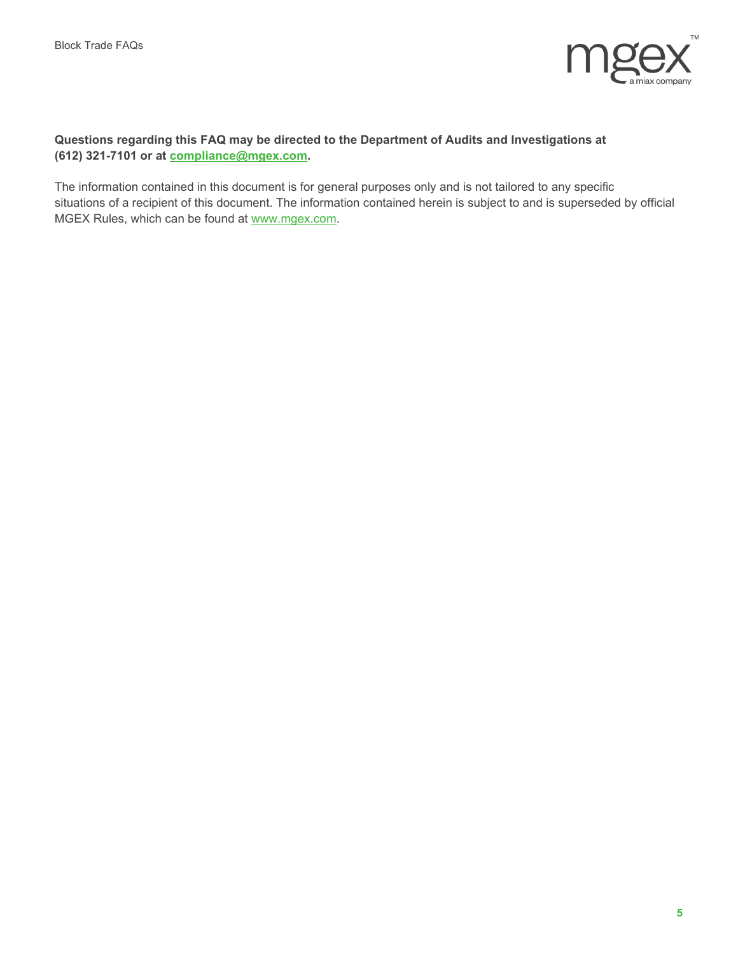

#### **Questions regarding this FAQ may be directed to the Department of Audits and Investigations at (612) 321-7101 or at [compliance@mgex.com.](mailto:compliance@mgex.com)**

The information contained in this document is for general purposes only and is not tailored to any specific situations of a recipient of this document. The information contained herein is subject to and is superseded by official MGEX Rules, which can be found at [www.mgex.com.](file://mgexapp2/users/tgersch/Documents/FAQ%20Branding%20Update/www.mgex.com)